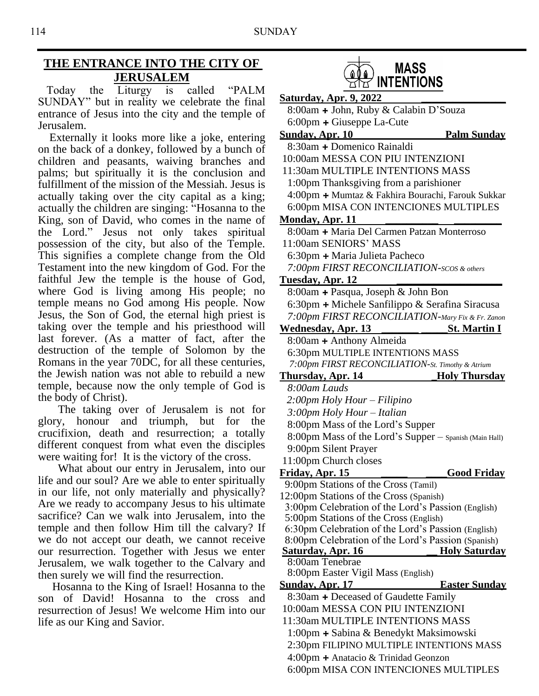# **THE ENTRANCE INTO THE CITY OF JERUSALEM**

 Today the Liturgy is called "PALM SUNDAY" but in reality we celebrate the final entrance of Jesus into the city and the temple of Jerusalem.

 Externally it looks more like a joke, entering on the back of a donkey, followed by a bunch of children and peasants, waiving branches and palms; but spiritually it is the conclusion and fulfillment of the mission of the Messiah. Jesus is actually taking over the city capital as a king; actually the children are singing: "Hosanna to the King, son of David, who comes in the name of the Lord." Jesus not only takes spiritual possession of the city, but also of the Temple. This signifies a complete change from the Old Testament into the new kingdom of God. For the faithful Jew the temple is the house of God, where God is living among His people; no temple means no God among His people. Now Jesus, the Son of God, the eternal high priest is taking over the temple and his priesthood will last forever. (As a matter of fact, after the destruction of the temple of Solomon by the Romans in the year 70DC, for all these centuries, the Jewish nation was not able to rebuild a new temple, because now the only temple of God is the body of Christ).

 The taking over of Jerusalem is not for glory, honour and triumph, but for the crucifixion, death and resurrection; a totally different conquest from what even the disciples were waiting for! It is the victory of the cross.

 What about our entry in Jerusalem, into our life and our soul? Are we able to enter spiritually in our life, not only materially and physically? Are we ready to accompany Jesus to his ultimate sacrifice? Can we walk into Jerusalem, into the temple and then follow Him till the calvary? If we do not accept our death, we cannot receive our resurrection. Together with Jesus we enter Jerusalem, we walk together to the Calvary and then surely we will find the resurrection.

 Hosanna to the King of Israel! Hosanna to the son of David! Hosanna to the cross and resurrection of Jesus! We welcome Him into our life as our King and Savior.



| <u>Saturday, Apr. 9, 2022</u>                                                 |                      |
|-------------------------------------------------------------------------------|----------------------|
| 8:00am + John, Ruby & Calabin D'Souza                                         |                      |
| $6:00$ pm + Giuseppe La-Cute                                                  |                      |
| <u>Sundav, Apr. 10</u>                                                        | <b>Palm Sunday</b>   |
| 8:30am + Domenico Rainaldi                                                    |                      |
| 10:00am MESSA CON PIU INTENZIONI                                              |                      |
| 11:30am MULTIPLE INTENTIONS MASS                                              |                      |
| 1:00pm Thanksgiving from a parishioner                                        |                      |
| 4:00pm + Mumtaz & Fakhira Bourachi, Farouk Sukkar                             |                      |
| 6:00pm MISA CON INTENCIONES MULTIPLES                                         |                      |
| Monday, Apr. 11                                                               |                      |
| 8:00am + Maria Del Carmen Patzan Monterroso                                   |                      |
| 11:00am SENIORS' MASS                                                         |                      |
| 6:30pm + Maria Julieta Pacheco                                                |                      |
| 7:00pm FIRST RECONCILIATION-SCOS & others                                     |                      |
| Tuesday, Apr. 12                                                              |                      |
| 8:00am + Pasqua, Joseph & John Bon                                            |                      |
| 6:30pm + Michele Sanfilippo & Serafina Siracusa                               |                      |
| 7:00pm FIRST RECONCILIATION-Mary Fix & Fr. Zanon                              |                      |
| <u>Wednesday, Apr. 13</u>                                                     | <u>St. Martin I</u>  |
| 8:00am + Anthony Almeida                                                      |                      |
| 6:30pm MULTIPLE INTENTIONS MASS                                               |                      |
| 7:00pm FIRST RECONCILIATION-St. Timothy & Atrium                              |                      |
| <u>Thursday, Apr. 14</u>                                                      | <u>Holy Thursday</u> |
|                                                                               |                      |
| 8:00am Lauds                                                                  |                      |
| 2:00pm Holy Hour - Filipino                                                   |                      |
| 3:00pm Holy Hour – Italian                                                    |                      |
| 8:00pm Mass of the Lord's Supper                                              |                      |
| 8:00pm Mass of the Lord's Supper - Spanish (Main Hall)                        |                      |
| 9:00pm Silent Prayer                                                          |                      |
| 11:00pm Church closes                                                         |                      |
| Friday, Apr. 15                                                               | <b>Good Friday</b>   |
| 9:00pm Stations of the Cross (Tamil)                                          |                      |
| 12:00pm Stations of the Cross (Spanish)                                       |                      |
| 3:00pm Celebration of the Lord's Passion (English)                            |                      |
| 5:00pm Stations of the Cross (English)                                        |                      |
| 6:30pm Celebration of the Lord's Passion (English)                            |                      |
| 8:00pm Celebration of the Lord's Passion (Spanish)                            |                      |
| <b>Saturday, Apr. 16</b><br>8:00am Tenebrae                                   | <b>Holy Saturday</b> |
| 8:00pm Easter Vigil Mass (English)                                            |                      |
| Sunday, Apr. 17                                                               | <b>Easter Sunday</b> |
| 8:30am + Deceased of Gaudette Family                                          |                      |
| 10:00am MESSA CON PIU INTENZIONI                                              |                      |
| 11:30am MULTIPLE INTENTIONS MASS                                              |                      |
| 1:00pm + Sabina & Benedykt Maksimowski                                        |                      |
| 2:30pm FILIPINO MULTIPLE INTENTIONS MASS                                      |                      |
| 4:00pm + Anatacio & Trinidad Geonzon<br>6:00pm MISA CON INTENCIONES MULTIPLES |                      |